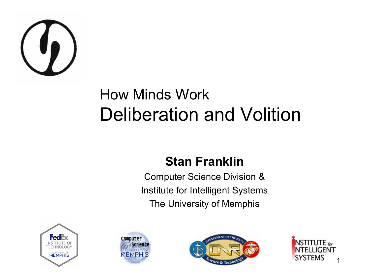

#### How Minds Work Deliberation and Volition

#### **Stan Franklin**

Computer Science Division & Institute for Intelligent Systems The University of Memphis







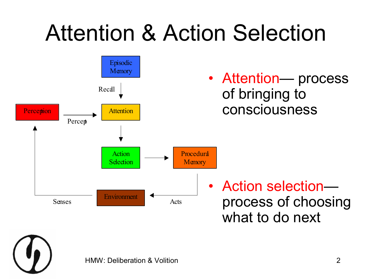# Attention & Action Selection



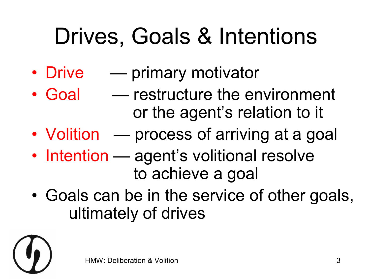# Drives, Goals & Intentions

- Drive primary motivator
- Goal restructure the environment or the agent's relation to it
- Volition process of arriving at a goal
- Intention agent's volitional resolve to achieve a goal
- Goals can be in the service of other goals, ultimately of drives

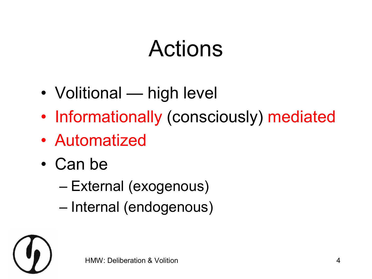#### Actions

- Volitional high level
- Informationally (consciously) mediated
- Automatized
- Can be
	- External (exogenous)
	- Internal (endogenous)

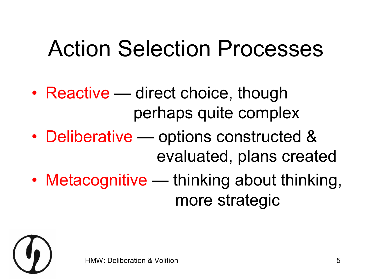#### Action Selection Processes

- Reactive direct choice, though perhaps quite complex
- Deliberative options constructed & evaluated, plans created
- Metacognitive thinking about thinking, more strategic

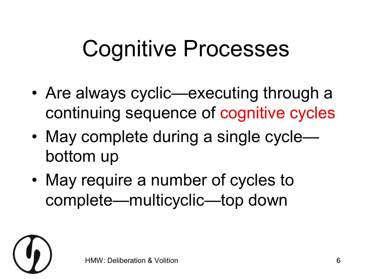#### Cognitive Processes

- Are always cyclic—executing through a continuing sequence of cognitive cycles
- May complete during a single cycle bottom up
- May require a number of cycles to complete—multicyclic—top down

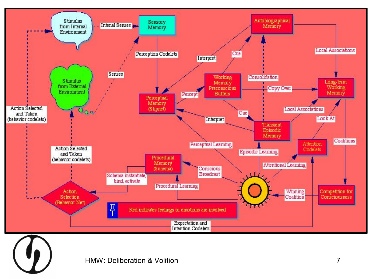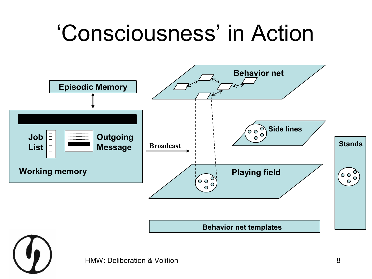#### 'Consciousness' in Action

![](_page_7_Figure_1.jpeg)

![](_page_7_Picture_2.jpeg)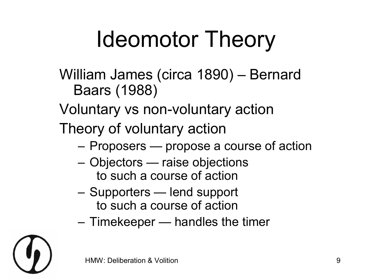# Ideomotor Theory

- William James (circa 1890) Bernard Baars (1988)
- Voluntary vs non-voluntary action
- Theory of voluntary action
	- Proposers propose a course of action
	- Objectors raise objections to such a course of action
	- Supporters lend support to such a course of action
	- Timekeeper handles the timer

![](_page_8_Picture_8.jpeg)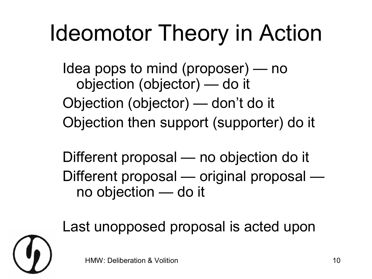# Ideomotor Theory in Action

Idea pops to mind (proposer) — no objection (objector) — do it Objection (objector) — don't do it Objection then support (supporter) do it

Different proposal — no objection do it Different proposal — original proposal no objection — do it

Last unopposed proposal is acted upon

![](_page_9_Picture_4.jpeg)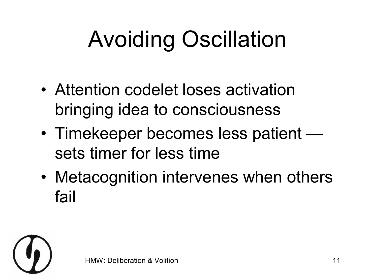# Avoiding Oscillation

- Attention codelet loses activation bringing idea to consciousness
- Timekeeper becomes less patient sets timer for less time
- Metacognition intervenes when others fail

![](_page_10_Picture_4.jpeg)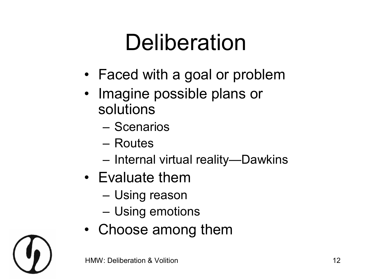#### Deliberation

- Faced with a goal or problem
- Imagine possible plans or solutions
	- Scenarios
	- Routes
	- Internal virtual reality—Dawkins
- Evaluate them
	- Using reason
	- Using emotions
- Choose among them

![](_page_11_Picture_10.jpeg)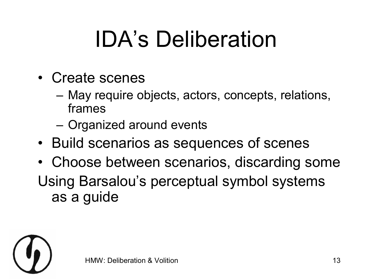# IDA's Deliberation

- Create scenes
	- May require objects, actors, concepts, relations, frames
	- Organized around events
- Build scenarios as sequences of scenes
- Choose between scenarios, discarding some Using Barsalou's perceptual symbol systems as a guide

![](_page_12_Picture_6.jpeg)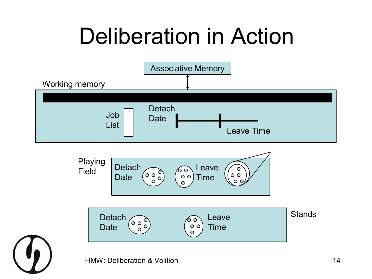# Deliberation in Action

![](_page_13_Figure_1.jpeg)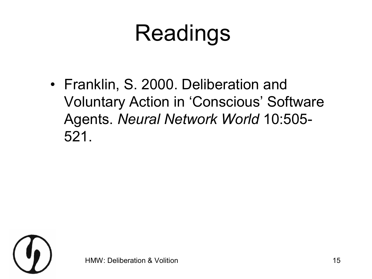# Readings

• Franklin, S. 2000. Deliberation and Voluntary Action in 'Conscious' Software Agents. *Neural Network World* 10:505 521.

![](_page_14_Picture_2.jpeg)